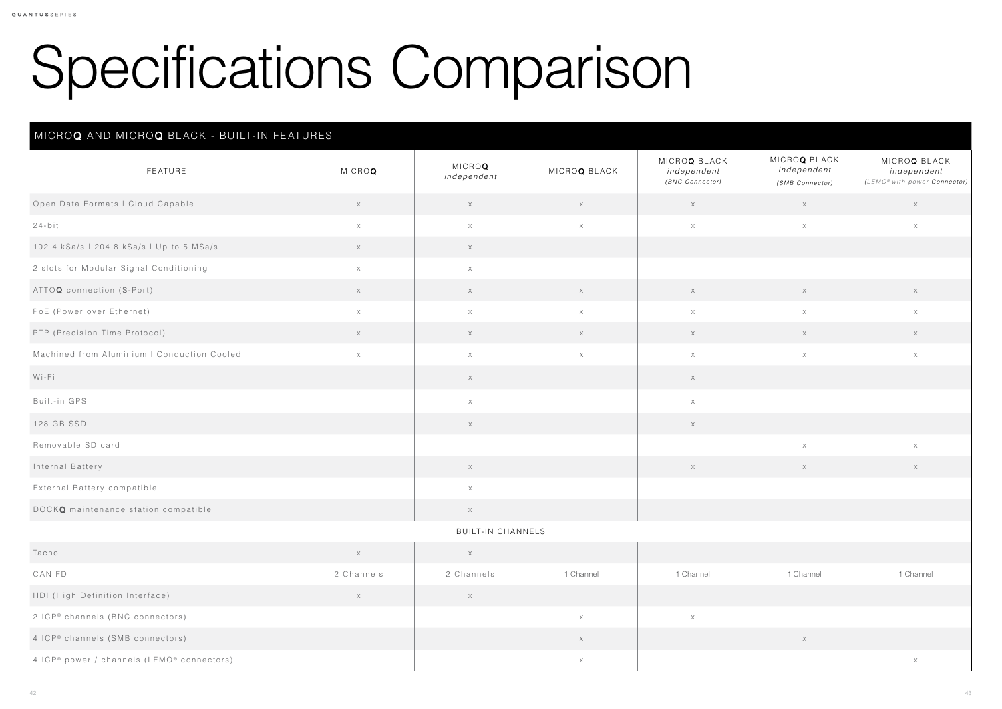## Specifications Comparison

## MICROQ AND MICROQ BLACK - BUILT-IN FEATURES

| MICROQ BLACK<br>independent<br>(SMB Connector) | MICROQ BLACK<br>independent<br>(LEMO® with power Connector) |  |  |  |
|------------------------------------------------|-------------------------------------------------------------|--|--|--|
| $\mathsf X$                                    | $\mathsf X$                                                 |  |  |  |
| $\times$                                       | $\times$                                                    |  |  |  |
|                                                |                                                             |  |  |  |
|                                                |                                                             |  |  |  |
| $\mathsf X$                                    | $\mathsf X$                                                 |  |  |  |
| $\times$                                       | $\times$                                                    |  |  |  |
| $\mathsf X$                                    | $\mathsf X$                                                 |  |  |  |
| $\times$                                       | $\boldsymbol{\times}$                                       |  |  |  |
|                                                |                                                             |  |  |  |
|                                                |                                                             |  |  |  |
|                                                |                                                             |  |  |  |
| $\mathsf X$                                    | $\mathsf X$                                                 |  |  |  |
| $\mathsf X$                                    | $\mathsf X$                                                 |  |  |  |
|                                                |                                                             |  |  |  |
|                                                |                                                             |  |  |  |
|                                                |                                                             |  |  |  |
|                                                |                                                             |  |  |  |
| 1 Channel                                      | 1 Channel                                                   |  |  |  |
|                                                |                                                             |  |  |  |
|                                                |                                                             |  |  |  |
| $\mathsf X$                                    |                                                             |  |  |  |
|                                                | $\mathsf X$                                                 |  |  |  |

| FEATURE                                     | <b>MICROQ</b> | <b>MICROQ</b><br>independent | MICROQ BLACK                                                     | MICROQ BLACK<br>independent<br>(BNC Connector) | MICROQ BLACK<br>independent<br>(SMB Connector) | <b>MICROQ</b><br>indepe<br>(LEMO® with po |
|---------------------------------------------|---------------|------------------------------|------------------------------------------------------------------|------------------------------------------------|------------------------------------------------|-------------------------------------------|
| Open Data Formats   Cloud Capable           | $\mathsf X$   | $\mathsf X$                  | $\mathsf{X}% _{\mathsf{X}}^{\mathsf{A}}\left( \mathsf{X}\right)$ | $\times$                                       | $\times$                                       | $\rightarrow$                             |
| $24-bit$                                    | $\mathsf X$   | $\mathsf X$                  | $\times$                                                         | $\times$                                       | $\mathsf X$                                    |                                           |
| 102.4 kSa/s   204.8 kSa/s   Up to 5 MSa/s   | $\mathsf X$   | $\mathsf X$                  |                                                                  |                                                |                                                |                                           |
| 2 slots for Modular Signal Conditioning     | $\times$      | $\mathsf X$                  |                                                                  |                                                |                                                |                                           |
| ATTOQ connection (S-Port)                   | $\times$      | $\times$                     | $\mathsf X$                                                      | $\mathsf X$                                    | $\mathsf X$                                    | $\times$                                  |
| PoE (Power over Ethernet)                   | $\times$      | $\times$                     | $\times$                                                         | $\times$                                       | $\times$                                       |                                           |
| PTP (Precision Time Protocol)               | X             | $\mathsf X$                  | $\boldsymbol{\mathsf{X}}$                                        | $\mathsf X$                                    | $\times$                                       | $\times$                                  |
| Machined from Aluminium   Conduction Cooled | $\mathsf X$   | $\times$                     | $\mathsf X$                                                      | $\times$                                       | $\times$                                       |                                           |
| Wi-Fi                                       |               | $\mathsf X$                  |                                                                  | $\times$                                       |                                                |                                           |
| Built-in GPS                                |               | $\times$                     |                                                                  | $\times$                                       |                                                |                                           |
| 128 GB SSD                                  |               | $\times$                     |                                                                  | $\mathsf X$                                    |                                                |                                           |
| Removable SD card                           |               |                              |                                                                  |                                                | $\mathsf X$                                    |                                           |
| Internal Battery                            |               | $\times$                     |                                                                  | $\mathsf X$                                    | $\times$                                       |                                           |
| External Battery compatible                 |               | $\times$                     |                                                                  |                                                |                                                |                                           |
| DOCKQ maintenance station compatible        |               | $\mathsf X$                  |                                                                  |                                                |                                                |                                           |

## BUILT-IN CHANNELS

| Tacho                                      | $\lambda$<br>$\wedge$ |            |           |                          |           |          |
|--------------------------------------------|-----------------------|------------|-----------|--------------------------|-----------|----------|
| CAN FD                                     | 2 Channels            | 2 Channels | 1 Channel | 1 Channel                | 1 Channel | 1 Channe |
| HDI (High Definition Interface)            | $\sqrt{ }$<br>大       |            |           |                          |           |          |
| 2 ICP® channels (BNC connectors)           |                       |            |           | $\checkmark$<br>$\wedge$ |           |          |
| 4 ICP® channels (SMB connectors)           |                       |            |           |                          | $\times$  |          |
| 4 ICP® power / channels (LEMO® connectors) |                       |            |           |                          |           |          |